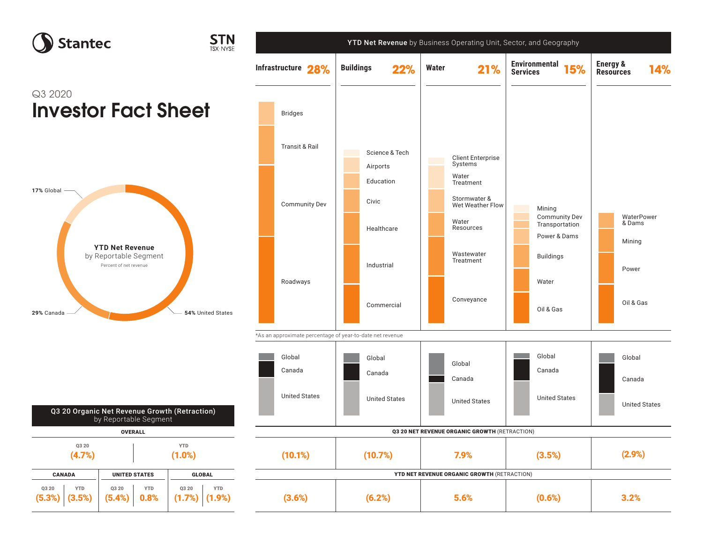